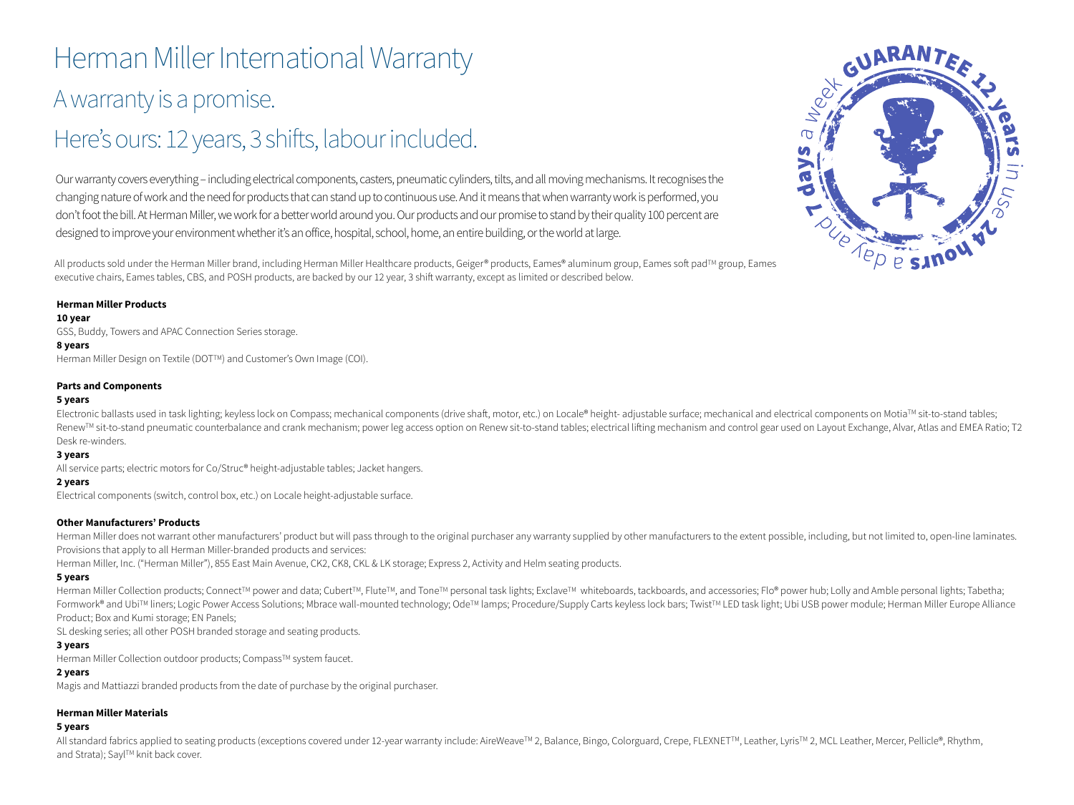# Herman Miller International Warranty A warranty is a promise.

# Here's ours: 12 years, 3 shifts, labour included.

Our warranty covers everything – including electrical components, casters, pneumatic cylinders, tilts, and all moving mechanisms. It recognises the changing nature of work and the need for products that can stand up to continuous use. And it means that when warranty work is performed, you don't foot the bill. At Herman Miller, we work for a better world around you. Our products and our promise to stand by their quality 100 percent are designed to improve your environment whether it's an office, hospital, school, home, an entire building, or the world at large.

All products sold under the Herman Miller brand, including Herman Miller Healthcare products, Geiger® products, Eames® aluminum group, Eames soft pad™ group, Eames executive chairs, Eames tables, CBS, and POSH products, are backed by our 12 year, 3 shift warranty, except as limited or described below.

# **Herman Miller Products**

#### **10 year**

GSS, Buddy, Towers and APAC Connection Series storage.

#### **8 years**

Herman Miller Design on Textile (DOT™) and Customer's Own Image (COI).

#### **Parts and Components**

#### **5 years**

Electronic ballasts used in task lighting; keyless lock on Compass; mechanical components (drive shaft, motor, etc.) on Locale® height- adjustable surface; mechanical and electrical components on Motia™ sit-to-stand table Renew™ sit-to-stand pneumatic counterbalance and crank mechanism; power leg access option on Renew sit-to-stand tables; electrical lifting mechanism and control gear used on Layout Exchange, Alvar, Atlas and EMEA Ratio; T Desk re-winders.

#### **3 years**

All service parts; electric motors for Co/Struc® height-adjustable tables; Jacket hangers.

# **2 years**

Electrical components (switch, control box, etc.) on Locale height-adjustable surface.

# **Other Manufacturers' Products**

Herman Miller does not warrant other manufacturers' product but will pass through to the original purchaser any warranty supplied by other manufacturers to the extent possible, including, but not limited to, open-line lami Provisions that apply to all Herman Miller-branded products and services:

Herman Miller, Inc. ("Herman Miller"), 855 East Main Avenue, CK2, CK8, CKL & LK storage; Express 2, Activity and Helm seating products.

# **5 years**

Herman Miller Collection products; Connect™ power and data; Cubert™, Flute™, and Tone™ personal task lights; Exclave™ whiteboards, tackboards, and accessories; Flo® power hub; Lolly and Amble personal lights; Tabetha; Formwork® and Ubi™ liners; Logic Power Access Solutions; Mbrace wall-mounted technology; Ode™ lamps; Procedure/Supply Carts keyless lock bars; Twist™ LED task light; Ubi USB power module; Herman Miller Europe Alliance Product; Box and Kumi storage; EN Panels;

SL desking series; all other POSH branded storage and seating products.

# **3 years**

Herman Miller Collection outdoor products; Compass™ system faucet.

# **2 years**

Magis and Mattiazzi branded products from the date of purchase by the original purchaser.

# **Herman Miller Materials**

#### **5 years**

All standard fabrics applied to seating products (exceptions covered under 12-year warranty include: AireWeave™ 2, Balance, Bingo, Colorguard, Crepe, FLEXNET™, Leather, Lyris™ 2, MCL Leather, Mercer, Pellicle®, Rhythm, and Strata); Sayl™ knit back cover.